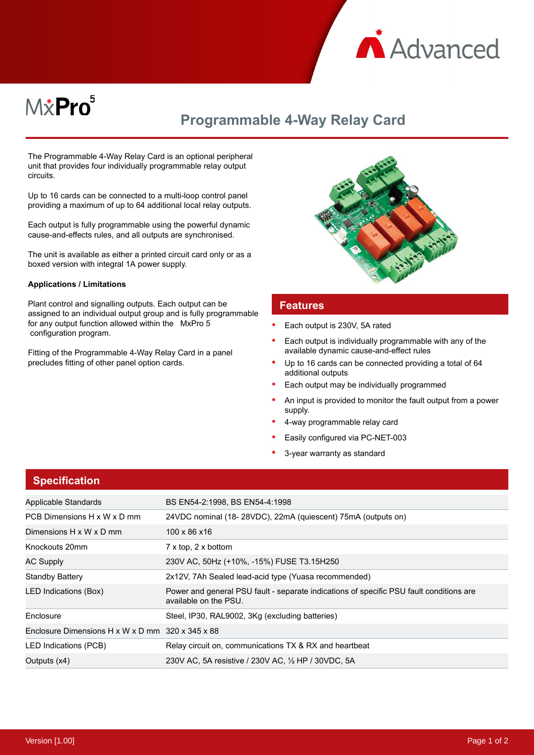

# M*\**Pro<sup>5</sup>

# **Programmable 4-Way Relay Card**

The Programmable 4-Way Relay Card is an optional peripheral unit that provides four individually programmable relay output circuits.

Up to 16 cards can be connected to a multi-loop control panel providing a maximum of up to 64 additional local relay outputs.

Each output is fully programmable using the powerful dynamic cause-and-effects rules, and all outputs are synchronised.

The unit is available as either a printed circuit card only or as a boxed version with integral 1A power supply.

#### **Applications / Limitations**

Plant control and signalling outputs. Each output can be assigned to an individual output group and is fully programmable for any output function allowed within the MxPro 5 configuration program.

Fitting of the Programmable 4-Way Relay Card in a panel precludes fitting of other panel option cards.



#### **Features**

- Each output is 230V, 5A rated
- Each output is individually programmable with any of the available dynamic cause-and-effect rules
- Up to 16 cards can be connected providing a total of 64 additional outputs
- Each output may be individually programmed
- An input is provided to monitor the fault output from a power supply.
- 4-way programmable relay card
- Easily configured via PC-NET-003
- 3-year warranty as standard

| Applicable Standards                             | BS EN54-2:1998, BS EN54-4:1998                                                                                   |
|--------------------------------------------------|------------------------------------------------------------------------------------------------------------------|
| PCB Dimensions H x W x D mm                      | 24VDC nominal (18-28VDC), 22mA (quiescent) 75mA (outputs on)                                                     |
| Dimensions H x W x D mm                          | 100 x 86 x 16                                                                                                    |
| Knockouts 20mm                                   | $7 \times$ top, $2 \times$ bottom                                                                                |
| <b>AC Supply</b>                                 | 230V AC, 50Hz (+10%, -15%) FUSE T3.15H250                                                                        |
| <b>Standby Battery</b>                           | 2x12V, 7Ah Sealed lead-acid type (Yuasa recommended)                                                             |
| LED Indications (Box)                            | Power and general PSU fault - separate indications of specific PSU fault conditions are<br>available on the PSU. |
| Enclosure                                        | Steel, IP30, RAL9002, 3Kg (excluding batteries)                                                                  |
| Enclosure Dimensions H x W x D mm 320 x 345 x 88 |                                                                                                                  |
| LED Indications (PCB)                            | Relay circuit on, communications TX & RX and heartbeat                                                           |
| Outputs (x4)                                     | 230V AC, 5A resistive / 230V AC, 1/2 HP / 30VDC, 5A                                                              |

### **Specification**